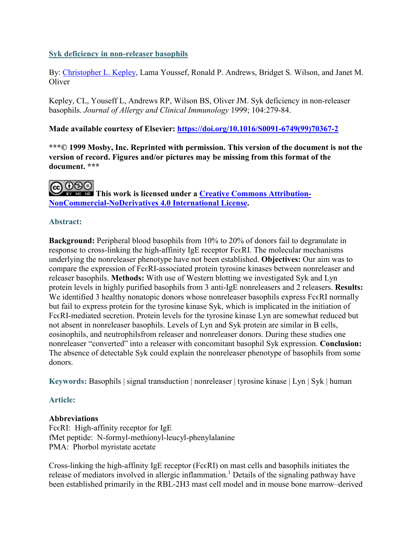#### **Syk deficiency in non-releaser basophils**

By: [Christopher L. Kepley,](https://libres.uncg.edu/ir/uncg/clist.aspx?id=8161) Lama Youssef, Ronald P. Andrews, Bridget S. Wilson, and Janet M. **Oliver** 

Kepley, CL, Youseff L, Andrews RP, Wilson BS, Oliver JM. Syk deficiency in non-releaser basophils. *Journal of Allergy and Clinical Immunology* 1999; 104:279-84.

#### **Made available courtesy of Elsevier: [https://doi.org/10.1016/S0091-6749\(99\)70367-2](https://doi.org/10.1016/S0091-6749(99)70367-2)**

**\*\*\*© 1999 Mosby, Inc. Reprinted with permission. This version of the document is not the version of record. Figures and/or pictures may be missing from this format of the document. \*\*\***

# @0®

**This work is licensed under a [Creative Commons Attribution-](http://creativecommons.org/licenses/by-nc-nd/4.0/)[NonCommercial-NoDerivatives 4.0 International License.](http://creativecommons.org/licenses/by-nc-nd/4.0/)**

#### **Abstract:**

**Background:** Peripheral blood basophils from 10% to 20% of donors fail to degranulate in response to cross-linking the high-affinity IgE receptor Fc εRI. The molecular mechanisms underlying the nonreleaser phenotype have not been established. **Objectives:** Our aim was to compare the expression of Fc $\epsilon$ RI-associated protein tyrosine kinases between nonreleaser and releaser basophils. **Methods:** With use of Western blotting we investigated Syk and Lyn protein levels in highly purified basophils from 3 anti-IgE nonreleasers and 2 releasers. **Results:** We identified 3 healthy nonatopic donors whose nonreleaser basophils express Fc $\epsilon$ RI normally but fail to express protein for the tyrosine kinase Syk, which is implicated in the initiation of Fc $\epsilon$ RI-mediated secretion. Protein levels for the tyrosine kinase Lyn are somewhat reduced but not absent in nonreleaser basophils. Levels of Lyn and Syk protein are similar in B cells, eosinophils, and neutrophilsfrom releaser and nonreleaser donors. During these studies one nonreleaser "converted" into a releaser with concomitant basophil Syk expression. **Conclusion:** The absence of detectable Syk could explain the nonreleaser phenotype of basophils from some donors.

**Keywords:** Basophils | signal transduction | nonreleaser | tyrosine kinase | Lyn | Syk | human

#### **Article:**

#### **Abbreviations**

Fc $\epsilon$ RI: High-affinity receptor for IgE fMet peptide: N-formyl-methionyl-leucyl-phenylalanine PMA: Phorbol myristate acetate

Cross-linking the high-affinity IgE receptor (Fc $\epsilon$ RI) on mast cells and basophils initiates the release of mediators involved in allergic inflammation.<sup>1</sup> Details of the signaling pathway have been established primarily in the RBL-2H3 mast cell model and in mouse bone marrow–derived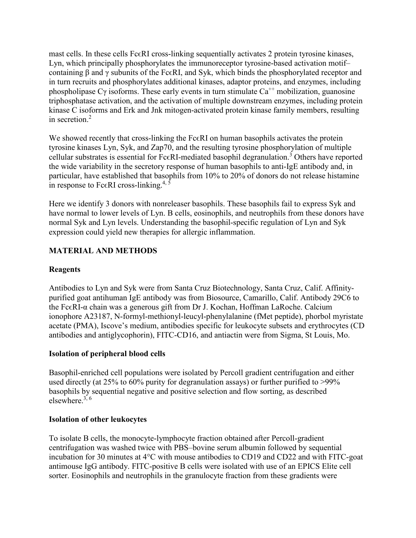mast cells. In these cells Fc $\epsilon$ RI cross-linking sequentially activates 2 protein tyrosine kinases, Lyn, which principally phosphorylates the immunoreceptor tyrosine-based activation motif– containing β and γ subunits of the Fc $\epsilon$ RI, and Syk, which binds the phosphorylated receptor and in turn recruits and phosphorylates additional kinases, adaptor proteins, and enzymes, including phospholipase Cγ isoforms. These early events in turn stimulate  $Ca^{++}$  mobilization, guanosine triphosphatase activation, and the activation of multiple downstream enzymes, including protein kinase C isoforms and Erk and Jnk mitogen-activated protein kinase family members, resulting in secretion.<sup>2</sup>

We showed recently that cross-linking the Fc∈RI on human basophils activates the protein tyrosine kinases Lyn, Syk, and Zap70, and the resulting tyrosine phosphorylation of multiple cellular substrates is essential for Fc $\epsilon$ RI-mediated basophil degranulation.<sup>3</sup> Others have reported the wide variability in the secretory response of human basophils to anti-IgE antibody and, in particular, have established that basophils from 10% to 20% of donors do not release histamine in response to Fc $\epsilon$ RI cross-linking.<sup>4, 5</sup>

Here we identify 3 donors with nonreleaser basophils. These basophils fail to express Syk and have normal to lower levels of Lyn. B cells, eosinophils, and neutrophils from these donors have normal Syk and Lyn levels. Understanding the basophil-specific regulation of Lyn and Syk expression could yield new therapies for allergic inflammation.

## **MATERIAL AND METHODS**

#### **Reagents**

Antibodies to Lyn and Syk were from Santa Cruz Biotechnology, Santa Cruz, Calif. Affinitypurified goat antihuman IgE antibody was from Biosource, Camarillo, Calif. Antibody 29C6 to the Fc∈RI-α chain was a generous gift from Dr J. Kochan, Hoffman LaRoche. Calcium ionophore A23187, N-formyl-methionyl-leucyl-phenylalanine (fMet peptide), phorbol myristate acetate (PMA), Iscove's medium, antibodies specific for leukocyte subsets and erythrocytes (CD antibodies and antiglycophorin), FITC-CD16, and antiactin were from Sigma, St Louis, Mo.

#### **Isolation of peripheral blood cells**

Basophil-enriched cell populations were isolated by Percoll gradient centrifugation and either used directly (at 25% to 60% purity for degranulation assays) or further purified to >99% basophils by sequential negative and positive selection and flow sorting, as described elsewhere. $^{3,6}$ 

#### **Isolation of other leukocytes**

To isolate B cells, the monocyte-lymphocyte fraction obtained after Percoll-gradient centrifugation was washed twice with PBS–bovine serum albumin followed by sequential incubation for 30 minutes at 4°C with mouse antibodies to CD19 and CD22 and with FITC-goat antimouse IgG antibody. FITC-positive B cells were isolated with use of an EPICS Elite cell sorter. Eosinophils and neutrophils in the granulocyte fraction from these gradients were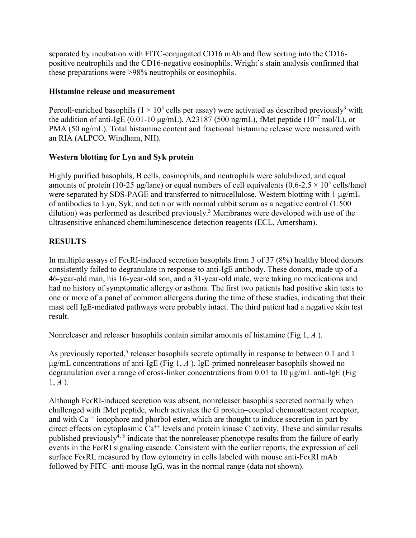separated by incubation with FITC-conjugated CD16 mAb and flow sorting into the CD16 positive neutrophils and the CD16-negative eosinophils. Wright's stain analysis confirmed that these preparations were >98% neutrophils or eosinophils.

#### **Histamine release and measurement**

Percoll-enriched basophils ( $1 \times 10^5$  cells per assay) were activated as described previously<sup>3</sup> with the addition of anti-IgE (0.01-10  $\mu$ g/mL), A23187 (500 ng/mL), fMet peptide (10<sup>-7</sup> mol/L), or PMA (50 ng/mL). Total histamine content and fractional histamine release were measured with an RIA (ALPCO, Windham, NH).

# **Western blotting for Lyn and Syk protein**

Highly purified basophils, B cells, eosinophils, and neutrophils were solubilized, and equal amounts of protein (10-25 μg/lane) or equal numbers of cell equivalents (0.6-2.5  $\times$  10<sup>5</sup> cells/lane) were separated by SDS-PAGE and transferred to nitrocellulose. Western blotting with 1 μg/mL of antibodies to Lyn, Syk, and actin or with normal rabbit serum as a negative control (1:500 dilution) was performed as described previously.<sup>3</sup> Membranes were developed with use of the ultrasensitive enhanced chemiluminescence detection reagents (ECL, Amersham).

# **RESULTS**

In multiple assays of Fc $\epsilon$ RI-induced secretion basophils from 3 of 37 (8%) healthy blood donors consistently failed to degranulate in response to anti-IgE antibody. These donors, made up of a 46-year-old man, his 16-year-old son, and a 31-year-old male, were taking no medications and had no history of symptomatic allergy or asthma. The first two patients had positive skin tests to one or more of a panel of common allergens during the time of these studies, indicating that their mast cell IgE-mediated pathways were probably intact. The third patient had a negative skin test result.

Nonreleaser and releaser basophils contain similar amounts of histamine (Fig 1, *A* ).

As previously reported,<sup>5</sup> releaser basophils secrete optimally in response to between 0.1 and 1 μg/mL concentrations of anti-IgE (Fig 1, *A* ). IgE-primed nonreleaser basophils showed no degranulation over a range of cross-linker concentrations from 0.01 to 10 μg/mL anti-IgE (Fig  $1, A$ ).

Although Fc $\epsilon$ RI-induced secretion was absent, nonreleaser basophils secreted normally when challenged with fMet peptide, which activates the G protein–coupled chemoattractant receptor, and with  $Ca^{++}$  ionophore and phorbol ester, which are thought to induce secretion in part by direct effects on cytoplasmic  $Ca^{++}$  levels and protein kinase C activity. These and similar results published previously<sup> $\bar{4}$ ,  $\bar{5}$  indicate that the nonreleaser phenotype results from the failure of early</sup> events in the Fc $\epsilon$ RI signaling cascade. Consistent with the earlier reports, the expression of cell surface Fc $\epsilon$ RI, measured by flow cytometry in cells labeled with mouse anti-Fc $\epsilon$ RI mAb followed by FITC–anti-mouse IgG, was in the normal range (data not shown).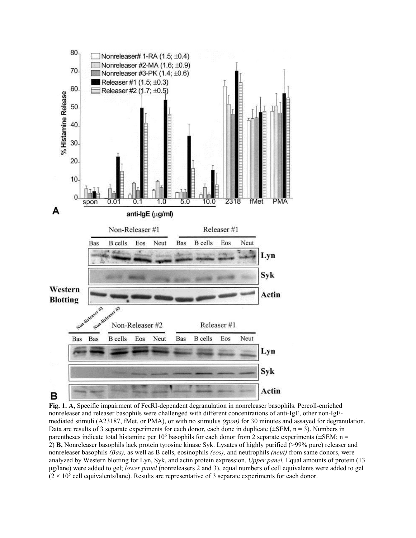

**Fig. 1. A,** Specific impairment of Fc $\epsilon$ RI-dependent degranulation in nonreleaser basophils. Percoll-enriched nonreleaser and releaser basophils were challenged with different concentrations of anti-IgE, other non-IgEmediated stimuli (A23187, fMet, or PMA), or with no stimulus *(spon)* for 30 minutes and assayed for degranulation. Data are results of 3 separate experiments for each donor, each done in duplicate ( $\pm$ SEM, n = 3). Numbers in parentheses indicate total histamine per  $10^6$  basophils for each donor from 2 separate experiments ( $\pm$ SEM; n = 2) **B,** Nonreleaser basophils lack protein tyrosine kinase Syk. Lysates of highly purified (>99% pure) releaser and nonreleaser basophils *(Bas),* as well as B cells, eosinophils *(eos),* and neutrophils *(neut)* from same donors, were analyzed by Western blotting for Lyn, Syk, and actin protein expression. *Upper panel,* Equal amounts of protein (13 μg/lane) were added to gel; *lower panel* (nonreleasers 2 and 3), equal numbers of cell equivalents were added to gel  $(2 \times 10^5 \text{ cell equivalents/lane})$ . Results are representative of 3 separate experiments for each donor.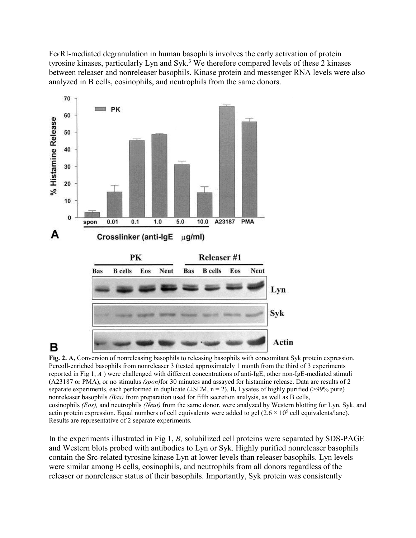FcϵRI-mediated degranulation in human basophils involves the early activation of protein tyrosine kinases, particularly Lyn and Syk.<sup>3</sup> We therefore compared levels of these 2 kinases between releaser and nonreleaser basophils. Kinase protein and messenger RNA levels were also analyzed in B cells, eosinophils, and neutrophils from the same donors.



# в

**Fig. 2. A,** Conversion of nonreleasing basophils to releasing basophils with concomitant Syk protein expression. Percoll-enriched basophils from nonreleaser 3 (tested approximately 1 month from the third of 3 experiments reported in Fig 1, *A* ) were challenged with different concentrations of anti-IgE, other non-IgE-mediated stimuli (A23187 or PMA), or no stimulus *(spon)*for 30 minutes and assayed for histamine release. Data are results of 2 separate experiments, each performed in duplicate (±SEM, n = 2). **B,** Lysates of highly purified (>99% pure) nonreleaser basophils *(Bas)* from preparation used for fifth secretion analysis, as well as B cells, eosinophils *(Eos),* and neutrophils *(Neut)* from the same donor, were analyzed by Western blotting for Lyn, Syk, and actin protein expression. Equal numbers of cell equivalents were added to gel  $(2.6 \times 10^5 \text{ cell equivalents/lane})$ . Results are representative of 2 separate experiments.

In the experiments illustrated in Fig 1, *B,* solubilized cell proteins were separated by SDS-PAGE and Western blots probed with antibodies to Lyn or Syk. Highly purified nonreleaser basophils contain the Src-related tyrosine kinase Lyn at lower levels than releaser basophils. Lyn levels were similar among B cells, eosinophils, and neutrophils from all donors regardless of the releaser or nonreleaser status of their basophils. Importantly, Syk protein was consistently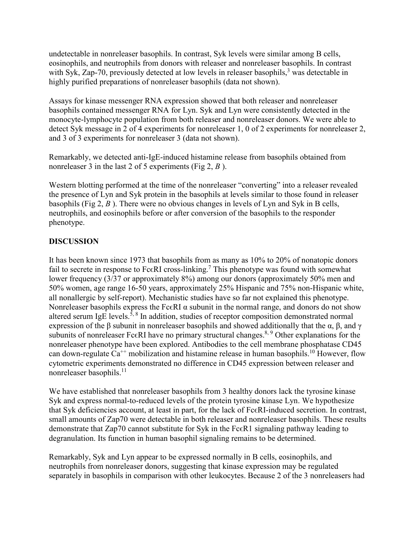undetectable in nonreleaser basophils. In contrast, Syk levels were similar among B cells, eosinophils, and neutrophils from donors with releaser and nonreleaser basophils. In contrast with Syk, Zap-70, previously detected at low levels in releaser basophils,  $3$  was detectable in highly purified preparations of nonreleaser basophils (data not shown).

Assays for kinase messenger RNA expression showed that both releaser and nonreleaser basophils contained messenger RNA for Lyn. Syk and Lyn were consistently detected in the monocyte-lymphocyte population from both releaser and nonreleaser donors. We were able to detect Syk message in 2 of 4 experiments for nonreleaser 1, 0 of 2 experiments for nonreleaser 2, and 3 of 3 experiments for nonreleaser 3 (data not shown).

Remarkably, we detected anti-IgE-induced histamine release from basophils obtained from nonreleaser 3 in the last 2 of 5 experiments (Fig 2, *B* ).

Western blotting performed at the time of the nonreleaser "converting" into a releaser revealed the presence of Lyn and Syk protein in the basophils at levels similar to those found in releaser basophils (Fig 2, *B* ). There were no obvious changes in levels of Lyn and Syk in B cells, neutrophils, and eosinophils before or after conversion of the basophils to the responder phenotype.

## **DISCUSSION**

It has been known since 1973 that basophils from as many as 10% to 20% of nonatopic donors fail to secrete in response to Fc $\epsilon$ RI cross-linking.<sup>7</sup> This phenotype was found with somewhat lower frequency (3/37 or approximately 8%) among our donors (approximately 50% men and 50% women, age range 16-50 years, approximately 25% Hispanic and 75% non-Hispanic white, all nonallergic by self-report). Mechanistic studies have so far not explained this phenotype. Nonreleaser basophils express the Fc $\epsilon$ RI  $\alpha$  subunit in the normal range, and donors do not show altered serum IgE levels.<sup>5, 8</sup> In addition, studies of receptor composition demonstrated normal expression of the β subunit in nonreleaser basophils and showed additionally that the  $\alpha$ , β, and γ subunits of nonreleaser Fc $\epsilon$ RI have no primary structural changes.<sup>8, 9</sup> Other explanations for the nonreleaser phenotype have been explored. Antibodies to the cell membrane phosphatase CD45 can down-regulate  $Ca^{++}$  mobilization and histamine release in human basophils.<sup>10</sup> However, flow cytometric experiments demonstrated no difference in CD45 expression between releaser and nonreleaser basophils.<sup>11</sup>

We have established that nonreleaser basophils from 3 healthy donors lack the tyrosine kinase Syk and express normal-to-reduced levels of the protein tyrosine kinase Lyn. We hypothesize that Syk deficiencies account, at least in part, for the lack of Fc $\epsilon$ RI-induced secretion. In contrast, small amounts of Zap70 were detectable in both releaser and nonreleaser basophils. These results demonstrate that Zap70 cannot substitute for Syk in the Fc $\epsilon$ R1 signaling pathway leading to degranulation. Its function in human basophil signaling remains to be determined.

Remarkably, Syk and Lyn appear to be expressed normally in B cells, eosinophils, and neutrophils from nonreleaser donors, suggesting that kinase expression may be regulated separately in basophils in comparison with other leukocytes. Because 2 of the 3 nonreleasers had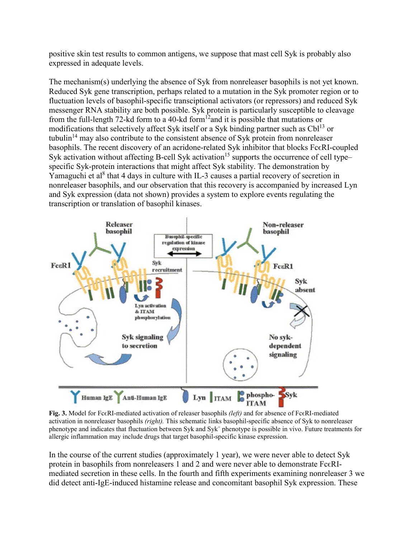positive skin test results to common antigens, we suppose that mast cell Syk is probably also expressed in adequate levels.

The mechanism(s) underlying the absence of Syk from nonreleaser basophils is not yet known. Reduced Syk gene transcription, perhaps related to a mutation in the Syk promoter region or to fluctuation levels of basophil-specific transciptional activators (or repressors) and reduced Syk messenger RNA stability are both possible. Syk protein is particularly susceptible to cleavage from the full-length 72-kd form to a 40-kd form<sup>12</sup> and it is possible that mutations or modifications that selectively affect Syk itself or a Syk binding partner such as  $Cb1^{13}$  or tubulin<sup>14</sup> may also contribute to the consistent absence of Syk protein from nonreleaser basophils. The recent discovery of an acridone-related Syk inhibitor that blocks Fc $\epsilon$ RI-coupled Syk activation without affecting B-cell Syk activation<sup>15</sup> supports the occurrence of cell type– specific Syk-protein interactions that might affect Syk stability. The demonstration by Yamaguchi et al<sup>8</sup> that 4 days in culture with IL-3 causes a partial recovery of secretion in nonreleaser basophils, and our observation that this recovery is accompanied by increased Lyn and Syk expression (data not shown) provides a system to explore events regulating the transcription or translation of basophil kinases.



**Fig. 3.** Model for FcϵRI-mediated activation of releaser basophils *(left)* and for absence of FcϵRI-mediated activation in nonreleaser basophils *(right).* This schematic links basophil-specific absence of Syk to nonreleaser phenotype and indicates that fluctuation between Syk and Syk+ phenotype is possible in vivo. Future treatments for allergic inflammation may include drugs that target basophil-specific kinase expression.

In the course of the current studies (approximately 1 year), we were never able to detect Syk protein in basophils from nonreleasers 1 and 2 and were never able to demonstrate Fc $\epsilon$ RImediated secretion in these cells. In the fourth and fifth experiments examining nonreleaser 3 we did detect anti-IgE-induced histamine release and concomitant basophil Syk expression. These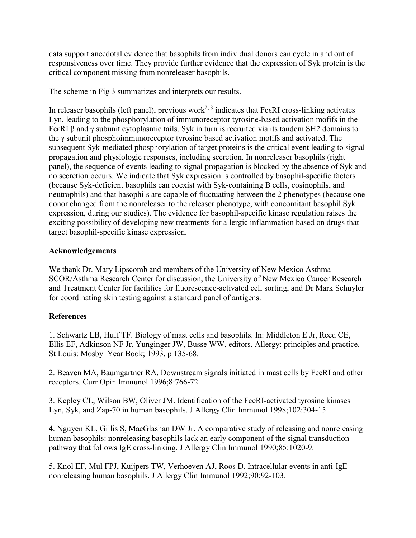data support anecdotal evidence that basophils from individual donors can cycle in and out of responsiveness over time. They provide further evidence that the expression of Syk protein is the critical component missing from nonreleaser basophils.

The scheme in Fig 3 summarizes and interprets our results.

In releaser basophils (left panel), previous work<sup>2, 3</sup> indicates that Fc $\epsilon$ RI cross-linking activates Lyn, leading to the phosphorylation of immunoreceptor tyrosine-based activation mofifs in the Fc $\epsilon$ RI β and γ subunit cytoplasmic tails. Syk in turn is recruited via its tandem SH2 domains to the γ subunit phosphoimmunoreceptor tyrosine based activation motifs and activated. The subsequent Syk-mediated phosphorylation of target proteins is the critical event leading to signal propagation and physiologic responses, including secretion. In nonreleaser basophils (right panel), the sequence of events leading to signal propagation is blocked by the absence of Syk and no secretion occurs. We indicate that Syk expression is controlled by basophil-specific factors (because Syk-deficient basophils can coexist with Syk-containing B cells, eosinophils, and neutrophils) and that basophils are capable of fluctuating between the 2 phenotypes (because one donor changed from the nonreleaser to the releaser phenotype, with concomitant basophil Syk expression, during our studies). The evidence for basophil-specific kinase regulation raises the exciting possibility of developing new treatments for allergic inflammation based on drugs that target basophil-specific kinase expression.

#### **Acknowledgements**

We thank Dr. Mary Lipscomb and members of the University of New Mexico Asthma SCOR/Asthma Research Center for discussion, the University of New Mexico Cancer Research and Treatment Center for facilities for fluorescence-activated cell sorting, and Dr Mark Schuyler for coordinating skin testing against a standard panel of antigens.

#### **References**

1. Schwartz LB, Huff TF. Biology of mast cells and basophils. In: Middleton E Jr, Reed CE, Ellis EF, Adkinson NF Jr, Yunginger JW, Busse WW, editors. Allergy: principles and practice. St Louis: Mosby–Year Book; 1993. p 135-68.

2. Beaven MA, Baumgartner RA. Downstream signals initiated in mast cells by FceRI and other receptors. Curr Opin Immunol 1996;8:766-72.

3. Kepley CL, Wilson BW, Oliver JM. Identification of the FceRI-activated tyrosine kinases Lyn, Syk, and Zap-70 in human basophils. J Allergy Clin Immunol 1998;102:304-15.

4. Nguyen KL, Gillis S, MacGlashan DW Jr. A comparative study of releasing and nonreleasing human basophils: nonreleasing basophils lack an early component of the signal transduction pathway that follows IgE cross-linking. J Allergy Clin Immunol 1990;85:1020-9.

5. Knol EF, Mul FPJ, Kuijpers TW, Verhoeven AJ, Roos D. Intracellular events in anti-IgE nonreleasing human basophils. J Allergy Clin Immunol 1992;90:92-103.